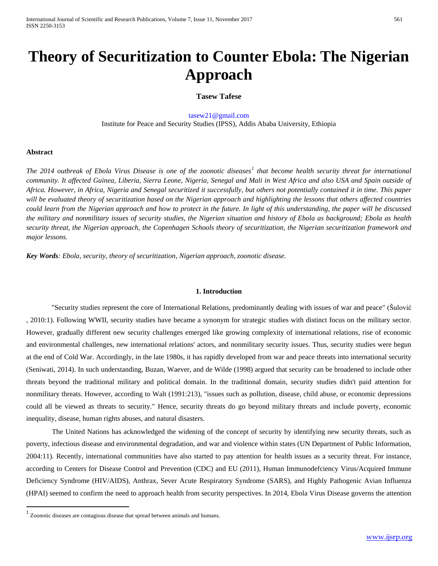# **Theory of Securitization to Counter Ebola: The Nigerian Approach**

# **Tasew Tafese**

tasew21@gmail.com Institute for Peace and Security Studies (IPSS), Addis Ababa University, Ethiopia

#### **Abstract**

*The 2014 outbreak of Ebola Virus Disease is one of the zoonotic diseases[1](#page-0-0) that become health security threat for international community. It affected Guinea, Liberia, Sierra Leone, Nigeria, Senegal and Mali in West Africa and also USA and Spain outside of Africa. However, in Africa, Nigeria and Senegal securitized it successfully, but others not potentially contained it in time. This paper will be evaluated theory of securitization based on the Nigerian approach and highlighting the lessons that others affected countries could learn from the Nigerian approach and how to protect in the future. In light of this understanding, the paper will be discussed the military and nonmilitary issues of security studies, the Nigerian situation and history of Ebola as background; Ebola as health security threat, the Nigerian approach, the Copenhagen Schools theory of securitization, the Nigerian securitization framework and major lessons.*

*Key Words: Ebola, security, theory of securitization, Nigerian approach, zoonotic disease.*

# **1. Introduction**

"Security studies represent the core of International Relations, predominantly dealing with issues of war and peace" (Šulović , 2010:1). Following WWII, security studies have became a synonym for strategic studies with distinct focus on the military sector. However, gradually different new security challenges emerged like growing complexity of international relations, rise of economic and environmental challenges, new international relations' actors, and nonmilitary security issues. Thus, security studies were begun at the end of Cold War. Accordingly, in the late 1980s, it has rapidly developed from war and peace threats into international security (Seniwati, 2014). In such understanding, Buzan, Waever, and de Wilde (1998) argued that security can be broadened to include other threats beyond the traditional military and political domain. In the traditional domain, security studies didn't paid attention for nonmilitary threats. However, according to Walt (1991:213), "issues such as pollution, disease, child abuse, or economic depressions could all be viewed as threats to security." Hence, security threats do go beyond military threats and include poverty, economic inequality, disease, human rights abuses, and natural disasters.

The United Nations has acknowledged the widening of the concept of security by identifying new security threats, such as poverty, infectious disease and environmental degradation, and war and violence within states (UN Department of Public Information, 2004:11). Recently, international communities have also started to pay attention for health issues as a security threat. For instance, according to Centers for Disease Control and Prevention (CDC) and EU (2011), Human Immunodefciency Virus/Acquired Immune Deficiency Syndrome (HIV/AIDS), Anthrax, Sever Acute Respiratory Syndrome (SARS), and Highly Pathogenic Avian Influenza (HPAI) seemed to confirm the need to approach health from security perspectives. In 2014, Ebola Virus Disease governs the attention

<span id="page-0-1"></span><span id="page-0-0"></span> $1$  Zoonotic diseases are contagious disease that spread between animals and humans.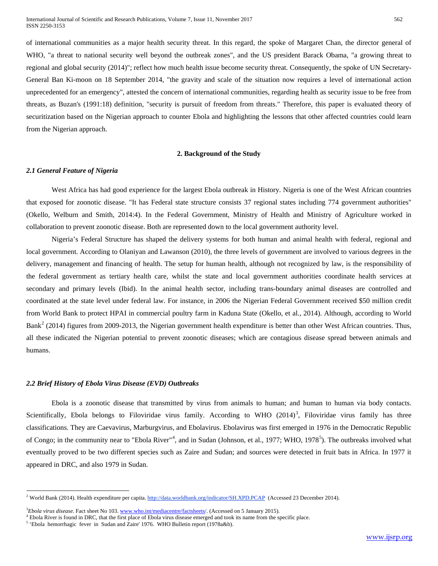of international communities as a major health security threat. In this regard, the spoke of Margaret Chan, the director general of WHO, "a threat to national security well beyond the outbreak zones", and the US president Barack Obama, "a growing threat to regional and global security (2014)"; reflect how much health issue become security threat. Consequently, the spoke of UN Secretary-General Ban Ki-moon on 18 September 2014, "the gravity and scale of the situation now requires a level of international action unprecedented for an emergency", attested the concern of international communities, regarding health as security issue to be free from threats, as Buzan's (1991:18) definition, "security is pursuit of freedom from threats." Therefore, this paper is evaluated theory of securitization based on the Nigerian approach to counter Ebola and highlighting the lessons that other affected countries could learn from the Nigerian approach.

# **2. Background of the Study**

#### *2.1 General Feature of Nigeria*

West Africa has had good experience for the largest Ebola outbreak in History. Nigeria is one of the West African countries that exposed for zoonotic disease. "It has Federal state structure consists 37 regional states including 774 government authorities" (Okello, Welburn and Smith, 2014:4). In the Federal Government, Ministry of Health and Ministry of Agriculture worked in collaboration to prevent zoonotic disease. Both are represented down to the local government authority level.

Nigeria's Federal Structure has shaped the delivery systems for both human and animal health with federal, regional and local government. According to Olaniyan and Lawanson (2010), the three levels of government are involved to various degrees in the delivery, management and financing of health. The setup for human health, although not recognized by law, is the responsibility of the federal government as tertiary health care, whilst the state and local government authorities coordinate health services at secondary and primary levels (Ibid). In the animal health sector, including trans-boundary animal diseases are controlled and coordinated at the state level under federal law. For instance, in 2006 the Nigerian Federal Government received \$50 million credit from World Bank to protect HPAI in commercial poultry farm in Kaduna State (Okello, et al., 2014). Although, according to World Bank<sup>[2](#page-0-1)</sup> (2014) figures from 2009-2013, the Nigerian government health expenditure is better than other West African countries. Thus, all these indicated the Nigerian potential to prevent zoonotic diseases; which are contagious disease spread between animals and humans.

# *2.2 Brief History of Ebola Virus Disease (EVD) Outbreaks*

 $\overline{a}$ 

Ebola is a zoonotic disease that transmitted by virus from animals to human; and human to human via body contacts. Scientifically, Ebola belongs to Filoviridae virus family. According to WHO  $(2014)^3$  $(2014)^3$ , Filoviridae virus family has three classifications. They are Caevavirus, Marburgvirus, and Ebolavirus. Ebolavirus was first emerged in 1976 in the Democratic Republic of Congo; in the community near to "Ebola River"<sup>[4](#page-1-1)</sup>, and in Sudan (Johnson, et al., 1977; WHO, 1978<sup>[5](#page-1-2)</sup>). The outbreaks involved what eventually proved to be two different species such as Zaire and Sudan; and sources were detected in fruit bats in Africa. In 1977 it appeared in DRC, and also 1979 in Sudan.

<span id="page-1-3"></span><sup>&</sup>lt;sup>2</sup> World Bank (2014). Health expenditure per capita. http://data.worldbank.org/indicator/SH.XPD.PCAP (Accessed 23 December 2014).

<span id="page-1-1"></span><span id="page-1-0"></span><sup>3</sup> *Ebola virus disease*. Fact sheet No 103. www.who.int/mediacentre/factsheets/. (Accessed on 5 January 2015).

<sup>&</sup>lt;sup>4</sup> Ebola River is found in DRC, that the first place of Ebola virus disease emerged and took its name from the specific place.

<span id="page-1-2"></span><sup>5</sup> 'Ebola hemorrhagic fever in Sudan and Zaire' 1976. WHO Bulletin report (1978a&b).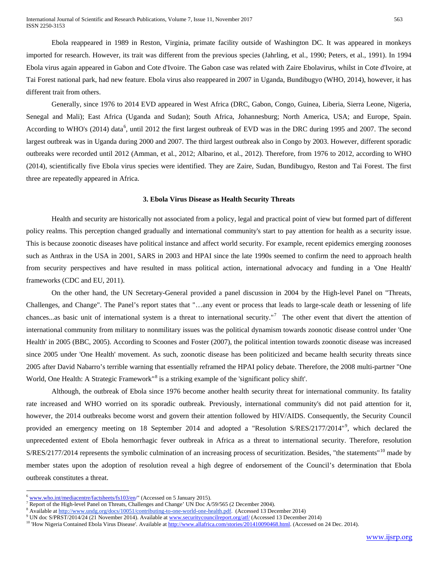Ebola reappeared in 1989 in Reston, Virginia, primate facility outside of Washington DC. It was appeared in monkeys imported for research. However, its trait was different from the previous species (Jahrling, et al., 1990; Peters, et al., 1991). In 1994 Ebola virus again appeared in Gabon and Cote d'Ivoire. The Gabon case was related with Zaire Ebolavirus, whilst in Cote d'Ivoire, at Tai Forest national park, had new feature. Ebola virus also reappeared in 2007 in Uganda, Bundibugyo (WHO, 2014), however, it has different trait from others.

Generally, since 1976 to 2014 EVD appeared in West Africa (DRC, Gabon, Congo, Guinea, Liberia, Sierra Leone, Nigeria, Senegal and Mali); East Africa (Uganda and Sudan); South Africa, Johannesburg; North America, USA; and Europe, Spain. According to WHO's (2014) data<sup>[6](#page-1-3)</sup>, until 2012 the first largest outbreak of EVD was in the DRC during 1995 and 2007. The second largest outbreak was in Uganda during 2000 and 2007. The third largest outbreak also in Congo by 2003. However, different sporadic outbreaks were recorded until 2012 (Amman, et al., 2012; Albarino, et al., 2012). Therefore, from 1976 to 2012, according to WHO (2014), scientifically five Ebola virus species were identified. They are Zaire, Sudan, Bundibugyo, Reston and Tai Forest. The first three are repeatedly appeared in Africa.

#### **3. Ebola Virus Disease as Health Security Threats**

Health and security are historically not associated from a policy, legal and practical point of view but formed part of different policy realms. This perception changed gradually and international community's start to pay attention for health as a security issue. This is because zoonotic diseases have political instance and affect world security. For example, recent epidemics emerging zoonoses such as Anthrax in the USA in 2001, SARS in 2003 and HPAI since the late 1990s seemed to confirm the need to approach health from security perspectives and have resulted in mass political action, international advocacy and funding in a 'One Health' frameworks (CDC and EU, 2011).

On the other hand, the UN Secretary-General provided a panel discussion in 2004 by the High-level Panel on "Threats, Challenges, and Change". The Panel's report states that "…any event or process that leads to large-scale death or lessening of life chances...as basic unit of international system is a threat to international security."<sup>[7](#page-2-0)</sup> The other event that divert the attention of international community from military to nonmilitary issues was the political dynamism towards zoonotic disease control under 'One Health' in 2005 (BBC, 2005). According to Scoones and Foster (2007), the political intention towards zoonotic disease was increased since 2005 under 'One Health' movement. As such, zoonotic disease has been politicized and became health security threats since 2005 after David Nabarro's terrible warning that essentially reframed the HPAI policy debate. Therefore, the 2008 multi-partner "One World, One Health: A Strategic Framework<sup>"[8](#page-2-0)</sup> is a striking example of the 'significant policy shift'.

Although, the outbreak of Ebola since 1976 become another health security threat for international community. Its fatality rate increased and WHO worried on its sporadic outbreak. Previously, international community's did not paid attention for it, however, the 2014 outbreaks become worst and govern their attention followed by HIV/AIDS. Consequently, the Security Council provided an emergency meeting on 18 September 2014 and adopted a "Resolution S/RES/2177/2014"<sup>[9](#page-2-0)</sup>, which declared the unprecedented extent of Ebola hemorrhagic fever outbreak in Africa as a threat to international security. Therefore, resolution  $S/RES/2177/2014$  represents the symbolic culmination of an increasing process of securitization. Besides, "the statements"<sup>[10](#page-2-0)</sup> made by member states upon the adoption of resolution reveal a high degree of endorsement of the Council's determination that Ebola outbreak constitutes a threat.

 $\overline{a}$ 

<span id="page-2-0"></span> $6$  www.who.int/mediacentre/factsheets/fs103/en/" (Accessed on 5 January 2015).

<sup>&</sup>lt;sup>7</sup> Report of the High-level Panel on Threats, Challenges and Change' UN Doc  $A/59/565$  (2 December 2004).

<sup>&</sup>lt;sup>8</sup> Available at http://www.undg.org/docs/10051/contributing-to-one-world-one-health.pdf. (Accessed 13 December 2014)

<sup>&</sup>lt;sup>9</sup> UN doc S/PRST/2014/24 (21 November 2014). Available at www.securitycouncilreport.org/atf/ (Accessed 13 December 2014)

<span id="page-2-1"></span><sup>&</sup>lt;sup>10</sup> 'How Nigeria Contained Ebola Virus Disease'. Available at http://www.allafrica.com/stories/201410090468.html. (Accessed on 24 Dec. 2014).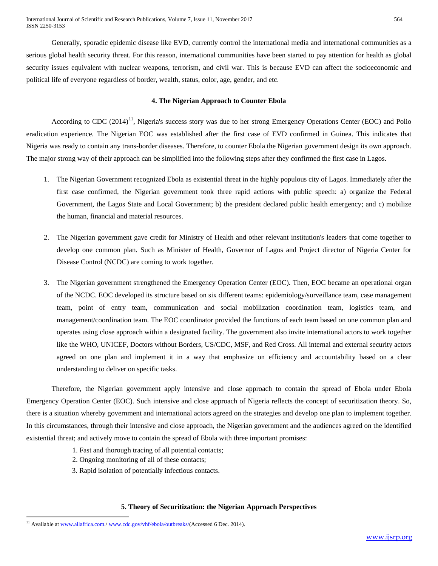Generally, sporadic epidemic disease like EVD, currently control the international media and international communities as a serious global health security threat. For this reason, international communities have been started to pay attention for health as global security issues equivalent with nuclear weapons, terrorism, and civil war. This is because EVD can affect the socioeconomic and political life of everyone regardless of border, wealth, status, color, age, gender, and etc.

# **4. The Nigerian Approach to Counter Ebola**

According to CDC  $(2014)^{11}$  $(2014)^{11}$  $(2014)^{11}$ , Nigeria's success story was due to her strong Emergency Operations Center (EOC) and Polio eradication experience. The Nigerian EOC was established after the first case of EVD confirmed in Guinea. This indicates that Nigeria was ready to contain any trans-border diseases. Therefore, to counter Ebola the Nigerian government design its own approach. The major strong way of their approach can be simplified into the following steps after they confirmed the first case in Lagos.

- 1. The Nigerian Government recognized Ebola as existential threat in the highly populous city of Lagos. Immediately after the first case confirmed, the Nigerian government took three rapid actions with public speech: a) organize the Federal Government, the Lagos State and Local Government; b) the president declared public health emergency; and c) mobilize the human, financial and material resources.
- 2. The Nigerian government gave credit for Ministry of Health and other relevant institution's leaders that come together to develop one common plan. Such as Minister of Health, Governor of Lagos and Project director of Nigeria Center for Disease Control (NCDC) are coming to work together.
- 3. The Nigerian government strengthened the Emergency Operation Center (EOC). Then, EOC became an operational organ of the NCDC. EOC developed its structure based on six different teams: epidemiology/surveillance team, case management team, point of entry team, communication and social mobilization coordination team, logistics team, and management/coordination team. The EOC coordinator provided the functions of each team based on one common plan and operates using close approach within a designated facility. The government also invite international actors to work together like the WHO, UNICEF, Doctors without Borders, US/CDC, MSF, and Red Cross. All internal and external security actors agreed on one plan and implement it in a way that emphasize on efficiency and accountability based on a clear understanding to deliver on specific tasks.

Therefore, the Nigerian government apply intensive and close approach to contain the spread of Ebola under Ebola Emergency Operation Center (EOC). Such intensive and close approach of Nigeria reflects the concept of securitization theory. So, there is a situation whereby government and international actors agreed on the strategies and develop one plan to implement together. In this circumstances, through their intensive and close approach, the Nigerian government and the audiences agreed on the identified existential threat; and actively move to contain the spread of Ebola with three important promises:

- 1. Fast and thorough tracing of all potential contacts;
- 2. Ongoing monitoring of all of these contacts;
- 3. Rapid isolation of potentially infectious contacts.

#### **5. Theory of Securitization: the Nigerian Approach Perspectives**

 $\overline{a}$ 

<sup>&</sup>lt;sup>11</sup> Available at www.allafrica.com./www.cdc.gov/vhf/ebola/outbreaks/(Accessed 6 Dec. 2014).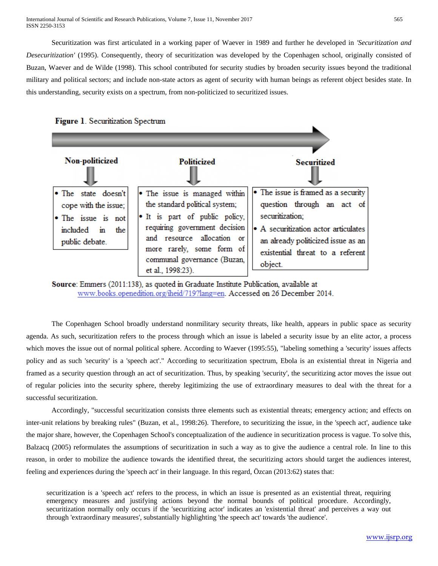Securitization was first articulated in a working paper of Waever in 1989 and further he developed in *'Securitization and Desecuritization'* (1995). Consequently, theory of securitization was developed by the Copenhagen school, originally consisted of Buzan, Waever and de Wilde (1998). This school contributed for security studies by broaden security issues beyond the traditional military and political sectors; and include non-state actors as agent of security with human beings as referent object besides state. In this understanding, security exists on a spectrum, from non-politicized to securitized issues.





Source: Emmers (2011:138), as quoted in Graduate Institute Publication, available at www.books.openedition.org/iheid/719?lang=en. Accessed on 26 December 2014.

The Copenhagen School broadly understand nonmilitary security threats, like health, appears in public space as security agenda. As such, securitization refers to the process through which an issue is labeled a security issue by an elite actor, a process which moves the issue out of normal political sphere. According to Waever (1995:55), "labeling something a 'security' issues affects policy and as such 'security' is a 'speech act'." According to securitization spectrum, Ebola is an existential threat in Nigeria and framed as a security question through an act of securitization. Thus, by speaking 'security', the securitizing actor moves the issue out of regular policies into the security sphere, thereby legitimizing the use of extraordinary measures to deal with the threat for a successful securitization.

Accordingly, "successful securitization consists three elements such as existential threats; emergency action; and effects on inter-unit relations by breaking rules" (Buzan, et al., 1998:26). Therefore, to securitizing the issue, in the 'speech act', audience take the major share, however, the Copenhagen School's conceptualization of the audience in securitization process is vague. To solve this, Balzacq (2005) reformulates the assumptions of securitization in such a way as to give the audience a central role. In line to this reason, in order to mobilize the audience towards the identified threat, the securitizing actors should target the audiences interest, feeling and experiences during the 'speech act' in their language. In this regard, Özcan (2013:62) states that:

securitization is a 'speech act' refers to the process, in which an issue is presented as an existential threat, requiring emergency measures and justifying actions beyond the normal bounds of political procedure. Accordingly, securitization normally only occurs if the 'securitizing actor' indicates an 'existential threat' and perceives a way out through 'extraordinary measures', substantially highlighting 'the speech act' towards 'the audience'.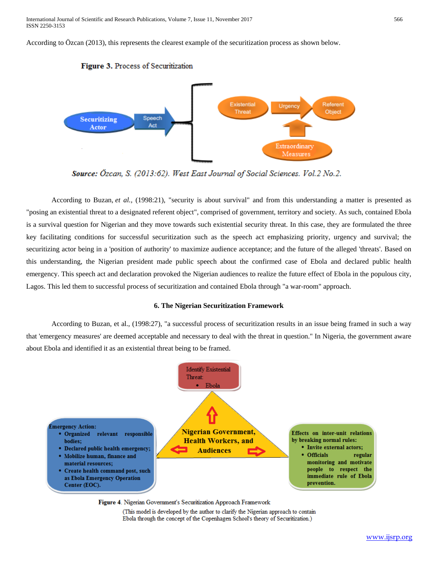International Journal of Scientific and Research Publications, Volume 7, Issue 11, November 2017 566 ISSN 2250-3153

According to Özcan (2013), this represents the clearest example of the securitization process as shown below.





Source: Özcan, S. (2013:62). West East Journal of Social Sciences. Vol.2 No.2.

According to Buzan, *et al.,* (1998:21), "security is about survival" and from this understanding a matter is presented as "posing an existential threat to a designated referent object", comprised of government, territory and society. As such, contained Ebola is a survival question for Nigerian and they move towards such existential security threat. In this case, they are formulated the three key facilitating conditions for successful securitization such as the speech act emphasizing priority, urgency and survival; the securitizing actor being in a 'position of authority' to maximize audience acceptance; and the future of the alleged 'threats'. Based on this understanding, the Nigerian president made public speech about the confirmed case of Ebola and declared public health emergency. This speech act and declaration provoked the Nigerian audiences to realize the future effect of Ebola in the populous city, Lagos. This led them to successful process of securitization and contained Ebola through "a war-room" approach.

#### **6. The Nigerian Securitization Framework**

According to Buzan, et al., (1998:27), "a successful process of securitization results in an issue being framed in such a way that 'emergency measures' are deemed acceptable and necessary to deal with the threat in question." In Nigeria, the government aware about Ebola and identified it as an existential threat being to be framed.



Figure 4. Nigerian Government's Securitization Approach Framework

(This model is developed by the author to clarify the Nigerian approach to contain Ebola through the concept of the Copenhagen School's theory of Securitization.)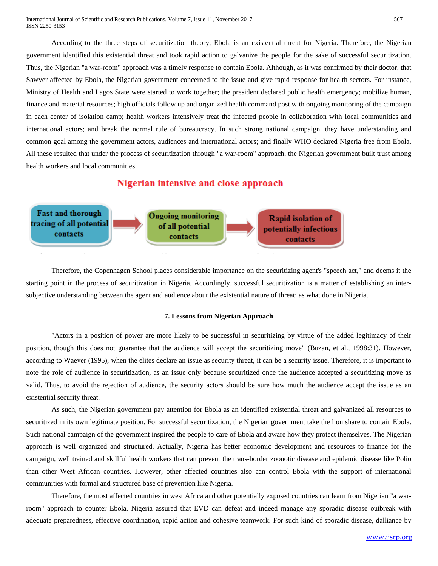According to the three steps of securitization theory, Ebola is an existential threat for Nigeria. Therefore, the Nigerian government identified this existential threat and took rapid action to galvanize the people for the sake of successful securitization. Thus, the Nigerian "a war-room" approach was a timely response to contain Ebola. Although, as it was confirmed by their doctor, that Sawyer affected by Ebola, the Nigerian government concerned to the issue and give rapid response for health sectors. For instance, Ministry of Health and Lagos State were started to work together; the president declared public health emergency; mobilize human, finance and material resources; high officials follow up and organized health command post with ongoing monitoring of the campaign in each center of isolation camp; health workers intensively treat the infected people in collaboration with local communities and international actors; and break the normal rule of bureaucracy. In such strong national campaign, they have understanding and common goal among the government actors, audiences and international actors; and finally WHO declared Nigeria free from Ebola. All these resulted that under the process of securitization through "a war-room" approach, the Nigerian government built trust among health workers and local communities.

# Nigerian intensive and close approach



Therefore, the Copenhagen School places considerable importance on the securitizing agent's "speech act," and deems it the starting point in the process of securitization in Nigeria. Accordingly, successful securitization is a matter of establishing an intersubjective understanding between the agent and audience about the existential nature of threat; as what done in Nigeria.

# **7. Lessons from Nigerian Approach**

"Actors in a position of power are more likely to be successful in securitizing by virtue of the added legitimacy of their position, though this does not guarantee that the audience will accept the securitizing move" (Buzan, et al., 1998:31). However, according to Waever (1995), when the elites declare an issue as security threat, it can be a security issue. Therefore, it is important to note the role of audience in securitization, as an issue only because securitized once the audience accepted a securitizing move as valid. Thus, to avoid the rejection of audience, the security actors should be sure how much the audience accept the issue as an existential security threat.

As such, the Nigerian government pay attention for Ebola as an identified existential threat and galvanized all resources to securitized in its own legitimate position. For successful securitization, the Nigerian government take the lion share to contain Ebola. Such national campaign of the government inspired the people to care of Ebola and aware how they protect themselves. The Nigerian approach is well organized and structured. Actually, Nigeria has better economic development and resources to finance for the campaign, well trained and skillful health workers that can prevent the trans-border zoonotic disease and epidemic disease like Polio than other West African countries. However, other affected countries also can control Ebola with the support of international communities with formal and structured base of prevention like Nigeria.

Therefore, the most affected countries in west Africa and other potentially exposed countries can learn from Nigerian "a warroom" approach to counter Ebola. Nigeria assured that EVD can defeat and indeed manage any sporadic disease outbreak with adequate preparedness, effective coordination, rapid action and cohesive teamwork. For such kind of sporadic disease, dalliance by

[www.ijsrp.org](http://ijsrp.org/)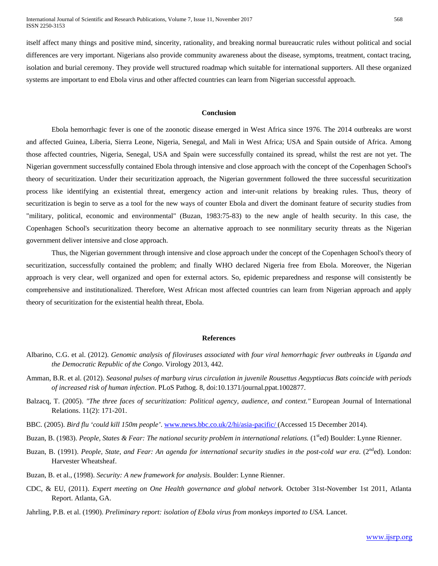itself affect many things and positive mind, sincerity, rationality, and breaking normal bureaucratic rules without political and social differences are very important. Nigerians also provide community awareness about the disease, symptoms, treatment, contact tracing, isolation and burial ceremony. They provide well structured roadmap which suitable for international supporters. All these organized systems are important to end Ebola virus and other affected countries can learn from Nigerian successful approach.

#### **Conclusion**

Ebola hemorrhagic fever is one of the zoonotic disease emerged in West Africa since 1976. The 2014 outbreaks are worst and affected Guinea, Liberia, Sierra Leone, Nigeria, Senegal, and Mali in West Africa; USA and Spain outside of Africa. Among those affected countries, Nigeria, Senegal, USA and Spain were successfully contained its spread, whilst the rest are not yet. The Nigerian government successfully contained Ebola through intensive and close approach with the concept of the Copenhagen School's theory of securitization. Under their securitization approach, the Nigerian government followed the three successful securitization process like identifying an existential threat, emergency action and inter-unit relations by breaking rules. Thus, theory of securitization is begin to serve as a tool for the new ways of counter Ebola and divert the dominant feature of security studies from "military, political, economic and environmental" (Buzan, 1983:75-83) to the new angle of health security. In this case, the Copenhagen School's securitization theory become an alternative approach to see nonmilitary security threats as the Nigerian government deliver intensive and close approach.

Thus, the Nigerian government through intensive and close approach under the concept of the Copenhagen School's theory of securitization, successfully contained the problem; and finally WHO declared Nigeria free from Ebola. Moreover, the Nigerian approach is very clear, well organized and open for external actors. So, epidemic preparedness and response will consistently be comprehensive and institutionalized. Therefore, West African most affected countries can learn from Nigerian approach and apply theory of securitization for the existential health threat, Ebola.

### **References**

- Albarino, C.G. et al. (2012). *Genomic analysis of filoviruses associated with four viral hemorrhagic fever outbreaks in Uganda and the Democratic Republic of the Congo*. Virology 2013, 442.
- Amman, B.R. et al. (2012). *Seasonal pulses of marburg virus circulation in juvenile Rousettus Aegyptiacus Bats coincide with periods of increased risk of human infection*. PLoS Pathog. 8, doi:10.1371/journal.ppat.1002877.
- Balzacq, T. (2005). *"The three faces of securitization: Political agency, audience, and context."* European Journal of International Relations. 11(2): 171-201.
- BBC. (2005). *Bird flu 'could kill 150m people'*. www.news.bbc.co.uk/2/hi/asia-pacific/ (Accessed 15 December 2014).
- Buzan, B. (1983). *People, States & Fear: The national security problem in international relations.* (1<sup>st</sup>ed) Boulder: Lynne Rienner.
- Buzan, B. (1991). *People, State, and Fear: An agenda for international security studies in the post-cold war era.* (2<sup>nd</sup>ed). London: Harvester Wheatsheaf.
- Buzan, B. et al., (1998). *Security: A new framework for analysis*. Boulder: Lynne Rienner.
- CDC, & EU, (2011). *Expert meeting on One Health governance and global network.* October 31st-November 1st 2011, Atlanta Report. Atlanta, GA.
- Jahrling, P.B. et al. (1990). *Preliminary report: isolation of Ebola virus from monkeys imported to USA.* Lancet.